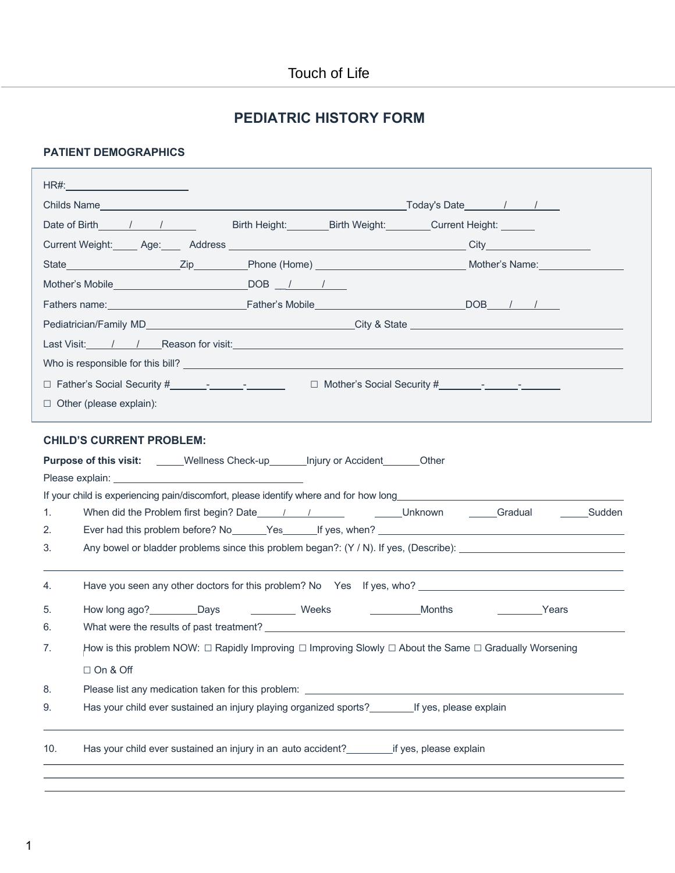## **PEDIATRIC HISTORY FORM**

### **PATIENT DEMOGRAPHICS**

| HR#: __________________________                                                                                               |                                                                                                                            |                                                                                                                                                                                                                                |  |
|-------------------------------------------------------------------------------------------------------------------------------|----------------------------------------------------------------------------------------------------------------------------|--------------------------------------------------------------------------------------------------------------------------------------------------------------------------------------------------------------------------------|--|
|                                                                                                                               |                                                                                                                            |                                                                                                                                                                                                                                |  |
| Date of Birth 1 1                                                                                                             | Birth Height: Birth Weight: Current Height: _______                                                                        |                                                                                                                                                                                                                                |  |
|                                                                                                                               |                                                                                                                            |                                                                                                                                                                                                                                |  |
|                                                                                                                               |                                                                                                                            |                                                                                                                                                                                                                                |  |
|                                                                                                                               |                                                                                                                            |                                                                                                                                                                                                                                |  |
|                                                                                                                               |                                                                                                                            |                                                                                                                                                                                                                                |  |
|                                                                                                                               |                                                                                                                            |                                                                                                                                                                                                                                |  |
|                                                                                                                               |                                                                                                                            | Last Visit: / / Reason for visit: New York 1988 of the Contract of the Contract of the Contract of the Contract of the Contract of the Contract of the Contract of the Contract of the Contract of the Contract of the Contrac |  |
|                                                                                                                               |                                                                                                                            | Who is responsible for this bill? $\overline{\phantom{a}}$                                                                                                                                                                     |  |
|                                                                                                                               | □ Father's Social Security #___________________________  □ Mother's Social Security #____________________                  |                                                                                                                                                                                                                                |  |
| $\Box$ Other (please explain):                                                                                                |                                                                                                                            |                                                                                                                                                                                                                                |  |
| <b>CHILD'S CURRENT PROBLEM:</b><br><b>Purpose of this visit:</b> _____Wellness Check-up________Injury or Accident_______Other |                                                                                                                            |                                                                                                                                                                                                                                |  |
|                                                                                                                               |                                                                                                                            |                                                                                                                                                                                                                                |  |
| 1.                                                                                                                            |                                                                                                                            |                                                                                                                                                                                                                                |  |
| 2.                                                                                                                            |                                                                                                                            |                                                                                                                                                                                                                                |  |
| 3.                                                                                                                            |                                                                                                                            |                                                                                                                                                                                                                                |  |
| 4.                                                                                                                            |                                                                                                                            |                                                                                                                                                                                                                                |  |
| 5.                                                                                                                            | Months                                                                                                                     | <b>Example 2</b> Years                                                                                                                                                                                                         |  |
| 6.                                                                                                                            | What were the results of past treatment? The contract of the contract of the contract of the contract of past treatment?   |                                                                                                                                                                                                                                |  |
| 7.                                                                                                                            |                                                                                                                            |                                                                                                                                                                                                                                |  |
|                                                                                                                               | How is this problem NOW: $\Box$ Rapidly Improving $\Box$ Improving Slowly $\Box$ About the Same $\Box$ Gradually Worsening |                                                                                                                                                                                                                                |  |
| $\Box$ On & Off                                                                                                               |                                                                                                                            |                                                                                                                                                                                                                                |  |
| 8.                                                                                                                            | Please list any medication taken for this problem:                                                                         |                                                                                                                                                                                                                                |  |
| 9.                                                                                                                            | Has your child ever sustained an injury playing organized sports? _________ If yes, please explain                         |                                                                                                                                                                                                                                |  |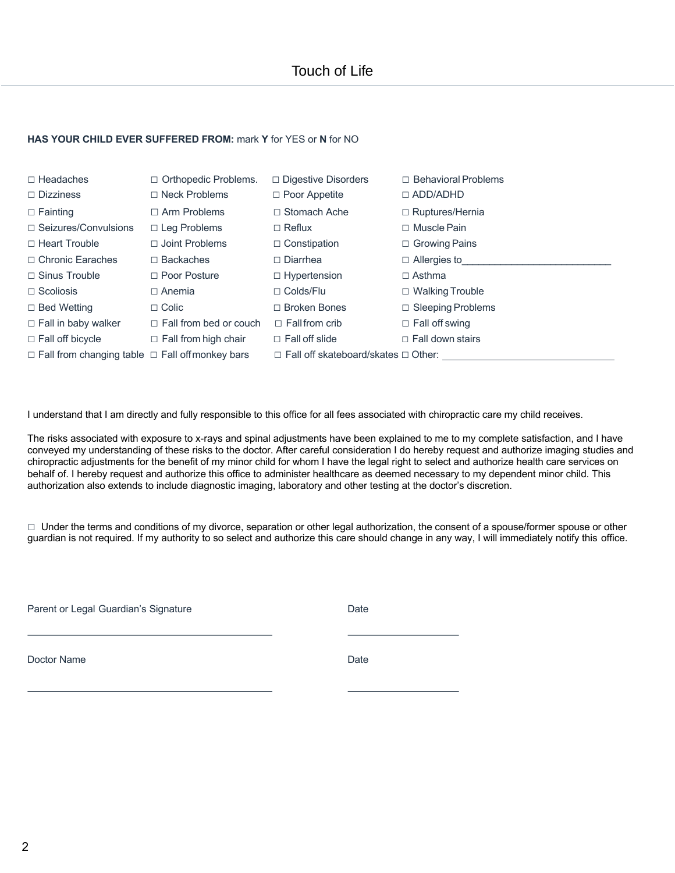#### **HAS YOUR CHILD EVER SUFFERED FROM:** mark **Y** for YES or **N** for NO

| $\Box$ Headaches<br>$\Box$ Dizziness                       | □ Orthopedic Problems.<br>$\Box$ Neck Problems | $\Box$ Digestive Disorders<br>$\Box$ Poor Appetite | $\Box$ Behavioral Problems<br>$\Box$ ADD/ADHD |
|------------------------------------------------------------|------------------------------------------------|----------------------------------------------------|-----------------------------------------------|
| $\Box$ Fainting                                            | $\Box$ Arm Problems                            | $\Box$ Stomach Ache                                | $\Box$ Ruptures/Hernia                        |
| $\Box$ Seizures/Convulsions                                | $\Box$ Leg Problems                            | $\Box$ Reflux                                      | $\Box$ Muscle Pain                            |
| $\Box$ Heart Trouble                                       | $\Box$ Joint Problems                          | $\Box$ Constipation                                | $\Box$ Growing Pains                          |
| □ Chronic Earaches                                         | $\Box$ Backaches                               | $\Box$ Diarrhea                                    | $\Box$ Allergies to                           |
| $\Box$ Sinus Trouble                                       | $\Box$ Poor Posture                            | $\Box$ Hypertension                                | $\Box$ Asthma                                 |
| $\Box$ Scoliosis                                           | $\Box$ Anemia                                  | $\Box$ Colds/Flu                                   | $\Box$ Walking Trouble                        |
| $\Box$ Bed Wetting                                         | $\Box$ Colic                                   | $\Box$ Broken Bones                                | $\Box$ Sleeping Problems                      |
| $\Box$ Fall in baby walker                                 | $\Box$ Fall from bed or couch                  | $\Box$ Fall from crib                              | $\Box$ Fall off swing                         |
| $\Box$ Fall off bicycle                                    | $\Box$ Fall from high chair                    | $\Box$ Fall off slide                              | $\Box$ Fall down stairs                       |
| $\Box$ Fall from changing table $\Box$ Fall offmonkey bars |                                                | □ Fall off skateboard/skates □ Other:              |                                               |

I understand that I am directly and fully responsible to this office for all fees associated with chiropractic care my child receives.

The risks associated with exposure to x-rays and spinal adjustments have been explained to me to my complete satisfaction, and I have conveyed my understanding of these risks to the doctor. After careful consideration I do hereby request and authorize imaging studies and chiropractic adjustments for the benefit of my minor child for whom I have the legal right to select and authorize health care services on behalf of. I hereby request and authorize this office to administer healthcare as deemed necessary to my dependent minor child. This authorization also extends to include diagnostic imaging, laboratory and other testing at the doctor's discretion.

□ Under the terms and conditions of my divorce, separation or other legal authorization, the consent of a spouse/former spouse or other guardian is not required. If my authority to so select and authorize this care should change in any way, I will immediately notify this office.

Parent or Legal Guardian's Signature **Date** Date

Doctor Name Date **Date**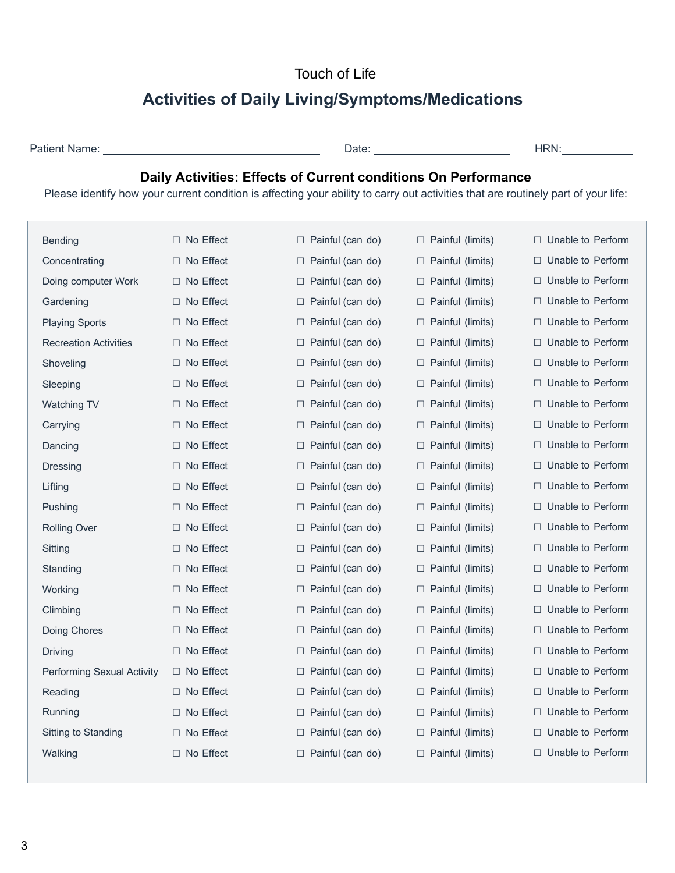# **Activities of Daily Living/Symptoms/Medications**

| Patient Name: |  |
|---------------|--|
|               |  |

Patient Name: Date: HRN:

## **Daily Activities: Effects of Current conditions On Performance**

Please identify how your current condition is affecting your ability to carry out activities that are routinely part of your life:

| <b>Bending</b>               | $\Box$ No Effect    | $\Box$ Painful (can do)    | $\Box$ Painful (limits)    | $\Box$ Unable to Perform |
|------------------------------|---------------------|----------------------------|----------------------------|--------------------------|
| Concentrating                | $\Box$ No Effect    | $\Box$ Painful (can do)    | $\Box$ Painful (limits)    | $\Box$ Unable to Perform |
| Doing computer Work          | $\Box$ No Effect    | $\Box$ Painful (can do)    | $\Box$ Painful (limits)    | $\Box$ Unable to Perform |
| Gardening                    | $\Box$ No Effect    | $\Box$ Painful (can do)    | □ Painful (limits)         | □ Unable to Perform      |
|                              |                     |                            |                            |                          |
| <b>Playing Sports</b>        | $\Box$ No Effect    | $\Box$ Painful (can do)    | $\Box$ Painful (limits)    | $\Box$ Unable to Perform |
| <b>Recreation Activities</b> | $\Box$ No Effect    | $\Box$ Painful (can do)    | $\Box$ Painful (limits)    | $\Box$ Unable to Perform |
| Shoveling                    | $\Box$ No Effect    | $\Box$ Painful (can do)    | $\Box$ Painful (limits)    | $\Box$ Unable to Perform |
| Sleeping                     | □ No Effect         | $\Box$ Painful (can do)    | □ Painful (limits)         | $\Box$ Unable to Perform |
| Watching TV                  | $\Box$ No Effect    | □ Painful (can do)         | □ Painful (limits)         | $\Box$ Unable to Perform |
| Carrying                     | □ No Effect         | $\Box$ Painful (can do)    | $\Box$ Painful (limits)    | $\Box$ Unable to Perform |
| Dancing                      | $\Box$ No Effect    | $\Box$ Painful (can do)    | □ Painful (limits)         | $\Box$ Unable to Perform |
| Dressing                     | $\Box$ No Effect    | $\Box$ Painful (can do)    | $\Box$ Painful (limits)    | $\Box$ Unable to Perform |
| Lifting                      | $\Box$ No Effect    | Painful (can do)<br>$\Box$ | □ Painful (limits)         | $\Box$ Unable to Perform |
| Pushing                      | $\Box$ No Effect    | $\Box$ Painful (can do)    | $\Box$ Painful (limits)    | □ Unable to Perform      |
| <b>Rolling Over</b>          | $\Box$ No Effect    | $\Box$ Painful (can do)    | $\Box$ Painful (limits)    | $\Box$ Unable to Perform |
| Sitting                      | $\Box$ No Effect    | $\Box$ Painful (can do)    | □ Painful (limits)         | $\Box$ Unable to Perform |
| Standing                     | $\Box$ No Effect    | $\Box$ Painful (can do)    | $\Box$ Painful (limits)    | $\Box$ Unable to Perform |
| Working                      | □ No Effect         | Painful (can do)<br>$\Box$ | $\Box$ Painful (limits)    | □ Unable to Perform      |
| Climbing                     | $\Box$ No Effect    | Painful (can do)<br>⊔      | □ Painful (limits)         | $\Box$ Unable to Perform |
| Doing Chores                 | □ No Effect         | $\Box$ Painful (can do)    | □ Painful (limits)         | $\Box$ Unable to Perform |
| <b>Driving</b>               | $\Box$ No Effect    | $\Box$ Painful (can do)    | $\Box$ Painful (limits)    | $\Box$ Unable to Perform |
| Performing Sexual Activity   | $\Box$ No Effect    | $\Box$ Painful (can do)    | □ Painful (limits)         | □ Unable to Perform      |
| Reading                      | $\Box$ No Effect    | $\Box$ Painful (can do)    | $\Box$ Painful (limits)    | $\Box$ Unable to Perform |
| Running                      | No Effect<br>$\Box$ | Painful (can do)<br>$\Box$ | Painful (limits)<br>$\Box$ | $\Box$ Unable to Perform |
| Sitting to Standing          | $\Box$ No Effect    | □ Painful (can do)         | □ Painful (limits)         | $\Box$ Unable to Perform |
| Walking                      | □ No Effect         | $\Box$ Painful (can do)    | $\Box$ Painful (limits)    | $\Box$ Unable to Perform |
|                              |                     |                            |                            |                          |